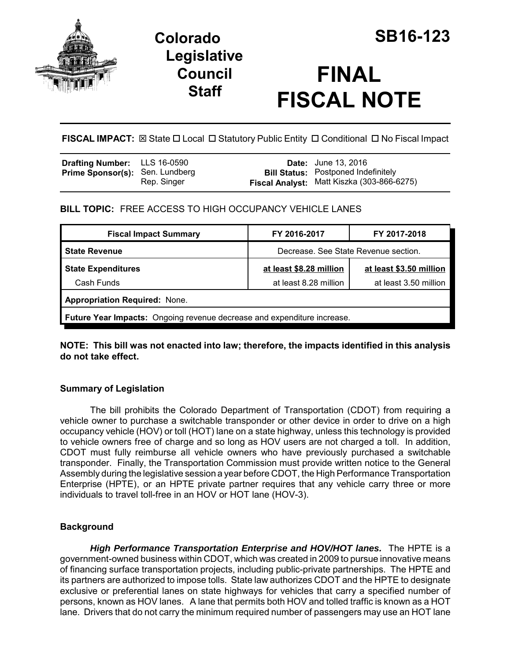

# **Colorado SB16-123 Legislative Council Staff**

# **FINAL FISCAL NOTE**

**FISCAL IMPACT:**  $\boxtimes$  State  $\Box$  Local  $\Box$  Statutory Public Entity  $\Box$  Conditional  $\Box$  No Fiscal Impact

| <b>Drafting Number:</b> LLS 16-0590    |             | <b>Date:</b> June 13, 2016                                                               |
|----------------------------------------|-------------|------------------------------------------------------------------------------------------|
| <b>Prime Sponsor(s): Sen. Lundberg</b> | Rep. Singer | <b>Bill Status: Postponed Indefinitely</b><br>Fiscal Analyst: Matt Kiszka (303-866-6275) |

**BILL TOPIC:** FREE ACCESS TO HIGH OCCUPANCY VEHICLE LANES

| <b>Fiscal Impact Summary</b>                                            | FY 2016-2017                         | FY 2017-2018            |  |  |  |  |
|-------------------------------------------------------------------------|--------------------------------------|-------------------------|--|--|--|--|
| <b>State Revenue</b>                                                    | Decrease. See State Revenue section. |                         |  |  |  |  |
| <b>State Expenditures</b>                                               | at least \$8.28 million              | at least \$3.50 million |  |  |  |  |
| Cash Funds                                                              | at least 8.28 million                | at least 3.50 million   |  |  |  |  |
| <b>Appropriation Required: None.</b>                                    |                                      |                         |  |  |  |  |
| Future Year Impacts: Ongoing revenue decrease and expenditure increase. |                                      |                         |  |  |  |  |

**NOTE: This bill was not enacted into law; therefore, the impacts identified in this analysis do not take effect.**

## **Summary of Legislation**

The bill prohibits the Colorado Department of Transportation (CDOT) from requiring a vehicle owner to purchase a switchable transponder or other device in order to drive on a high occupancy vehicle (HOV) or toll (HOT) lane on a state highway, unless this technology is provided to vehicle owners free of charge and so long as HOV users are not charged a toll. In addition, CDOT must fully reimburse all vehicle owners who have previously purchased a switchable transponder. Finally, the Transportation Commission must provide written notice to the General Assembly during the legislative session a year before CDOT, the High Performance Transportation Enterprise (HPTE), or an HPTE private partner requires that any vehicle carry three or more individuals to travel toll-free in an HOV or HOT lane (HOV-3).

## **Background**

*High Performance Transportation Enterprise and HOV/HOT lanes.* The HPTE is a government-owned business within CDOT, which was created in 2009 to pursue innovative means of financing surface transportation projects, including public-private partnerships. The HPTE and its partners are authorized to impose tolls. State law authorizes CDOT and the HPTE to designate exclusive or preferential lanes on state highways for vehicles that carry a specified number of persons, known as HOV lanes. A lane that permits both HOV and tolled traffic is known as a HOT lane. Drivers that do not carry the minimum required number of passengers may use an HOT lane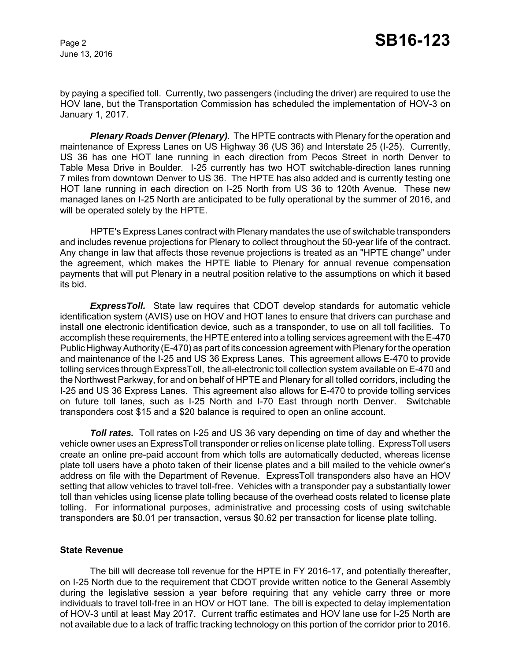June 13, 2016

by paying a specified toll. Currently, two passengers (including the driver) are required to use the HOV lane, but the Transportation Commission has scheduled the implementation of HOV-3 on January 1, 2017.

*Plenary Roads Denver (Plenary)*. The HPTE contracts with Plenary for the operation and maintenance of Express Lanes on US Highway 36 (US 36) and Interstate 25 (I-25). Currently, US 36 has one HOT lane running in each direction from Pecos Street in north Denver to Table Mesa Drive in Boulder. I-25 currently has two HOT switchable-direction lanes running 7 miles from downtown Denver to US 36. The HPTE has also added and is currently testing one HOT lane running in each direction on I-25 North from US 36 to 120th Avenue. These new managed lanes on I-25 North are anticipated to be fully operational by the summer of 2016, and will be operated solely by the HPTE.

HPTE's Express Lanes contract with Plenary mandates the use of switchable transponders and includes revenue projections for Plenary to collect throughout the 50-year life of the contract. Any change in law that affects those revenue projections is treated as an "HPTE change" under the agreement, which makes the HPTE liable to Plenary for annual revenue compensation payments that will put Plenary in a neutral position relative to the assumptions on which it based its bid.

*ExpressToll.* State law requires that CDOT develop standards for automatic vehicle identification system (AVIS) use on HOV and HOT lanes to ensure that drivers can purchase and install one electronic identification device, such as a transponder, to use on all toll facilities. To accomplish these requirements, the HPTE entered into a tolling services agreement with the E-470 Public Highway Authority (E-470) as part of its concession agreement with Plenary for the operation and maintenance of the I-25 and US 36 Express Lanes. This agreement allows E-470 to provide tolling services through ExpressToll, the all-electronic toll collection system available on E-470 and the Northwest Parkway, for and on behalf of HPTE and Plenary for all tolled corridors, including the I-25 and US 36 Express Lanes. This agreement also allows for E-470 to provide tolling services on future toll lanes, such as I-25 North and I-70 East through north Denver. Switchable transponders cost \$15 and a \$20 balance is required to open an online account.

**Toll rates.** Toll rates on I-25 and US 36 vary depending on time of day and whether the vehicle owner uses an ExpressToll transponder or relies on license plate tolling. ExpressToll users create an online pre-paid account from which tolls are automatically deducted, whereas license plate toll users have a photo taken of their license plates and a bill mailed to the vehicle owner's address on file with the Department of Revenue. ExpressToll transponders also have an HOV setting that allow vehicles to travel toll-free. Vehicles with a transponder pay a substantially lower toll than vehicles using license plate tolling because of the overhead costs related to license plate tolling. For informational purposes, administrative and processing costs of using switchable transponders are \$0.01 per transaction, versus \$0.62 per transaction for license plate tolling.

#### **State Revenue**

The bill will decrease toll revenue for the HPTE in FY 2016-17, and potentially thereafter, on I-25 North due to the requirement that CDOT provide written notice to the General Assembly during the legislative session a year before requiring that any vehicle carry three or more individuals to travel toll-free in an HOV or HOT lane. The bill is expected to delay implementation of HOV-3 until at least May 2017. Current traffic estimates and HOV lane use for I-25 North are not available due to a lack of traffic tracking technology on this portion of the corridor prior to 2016.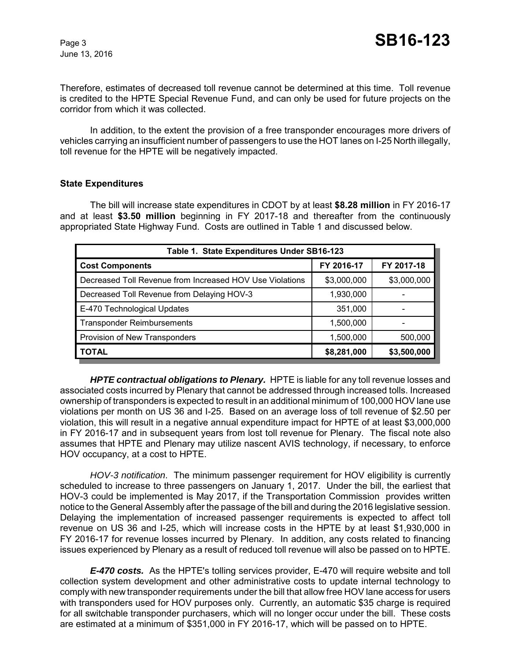Therefore, estimates of decreased toll revenue cannot be determined at this time. Toll revenue is credited to the HPTE Special Revenue Fund, and can only be used for future projects on the corridor from which it was collected.

In addition, to the extent the provision of a free transponder encourages more drivers of vehicles carrying an insufficient number of passengers to use the HOT lanes on I-25 North illegally, toll revenue for the HPTE will be negatively impacted.

#### **State Expenditures**

The bill will increase state expenditures in CDOT by at least **\$8.28 million** in FY 2016-17 and at least **\$3.50 million** beginning in FY 2017-18 and thereafter from the continuously appropriated State Highway Fund. Costs are outlined in Table 1 and discussed below.

| Table 1. State Expenditures Under SB16-123               |             |             |  |  |  |
|----------------------------------------------------------|-------------|-------------|--|--|--|
| <b>Cost Components</b>                                   | FY 2016-17  | FY 2017-18  |  |  |  |
| Decreased Toll Revenue from Increased HOV Use Violations | \$3,000,000 | \$3,000,000 |  |  |  |
| Decreased Toll Revenue from Delaying HOV-3               | 1,930,000   |             |  |  |  |
| E-470 Technological Updates                              | 351,000     |             |  |  |  |
| <b>Transponder Reimbursements</b>                        | 1,500,000   |             |  |  |  |
| Provision of New Transponders                            | 1,500,000   | 500,000     |  |  |  |
| <b>TOTAL</b>                                             | \$8,281,000 | \$3,500,000 |  |  |  |

*HPTE contractual obligations to Plenary.* HPTE is liable for any toll revenue losses and associated costs incurred by Plenary that cannot be addressed through increased tolls. Increased ownership of transponders is expected to result in an additional minimum of 100,000 HOV lane use violations per month on US 36 and I-25. Based on an average loss of toll revenue of \$2.50 per violation, this will result in a negative annual expenditure impact for HPTE of at least \$3,000,000 in FY 2016-17 and in subsequent years from lost toll revenue for Plenary. The fiscal note also assumes that HPTE and Plenary may utilize nascent AVIS technology, if necessary, to enforce HOV occupancy, at a cost to HPTE.

*HOV-3 notification*. The minimum passenger requirement for HOV eligibility is currently scheduled to increase to three passengers on January 1, 2017. Under the bill, the earliest that HOV-3 could be implemented is May 2017, if the Transportation Commission provides written notice to the General Assembly after the passage of the bill and during the 2016 legislative session. Delaying the implementation of increased passenger requirements is expected to affect toll revenue on US 36 and I-25, which will increase costs in the HPTE by at least \$1,930,000 in FY 2016-17 for revenue losses incurred by Plenary. In addition, any costs related to financing issues experienced by Plenary as a result of reduced toll revenue will also be passed on to HPTE.

*E-470 costs.* As the HPTE's tolling services provider, E-470 will require website and toll collection system development and other administrative costs to update internal technology to comply with new transponder requirements under the bill that allow free HOV lane access for users with transponders used for HOV purposes only. Currently, an automatic \$35 charge is required for all switchable transponder purchasers, which will no longer occur under the bill. These costs are estimated at a minimum of \$351,000 in FY 2016-17, which will be passed on to HPTE.